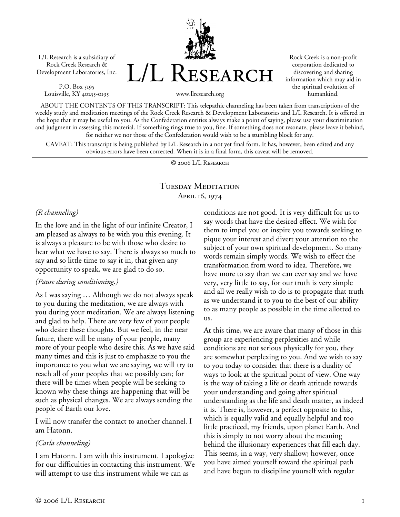L/L Research is a subsidiary of Rock Creek Research & Development Laboratories, Inc.

P.O. Box 5195 Louisville, KY 40255-0195 L/L Research

Rock Creek is a non-profit corporation dedicated to discovering and sharing information which may aid in the spiritual evolution of humankind.

www.llresearch.org

ABOUT THE CONTENTS OF THIS TRANSCRIPT: This telepathic channeling has been taken from transcriptions of the weekly study and meditation meetings of the Rock Creek Research & Development Laboratories and L/L Research. It is offered in the hope that it may be useful to you. As the Confederation entities always make a point of saying, please use your discrimination and judgment in assessing this material. If something rings true to you, fine. If something does not resonate, please leave it behind, for neither we nor those of the Confederation would wish to be a stumbling block for any.

CAVEAT: This transcript is being published by L/L Research in a not yet final form. It has, however, been edited and any obvious errors have been corrected. When it is in a final form, this caveat will be removed.

© 2006 L/L Research

## Tuesday Meditation April 16, 1974

## *(R channeling)*

In the love and in the light of our infinite Creator, I am pleased as always to be with you this evening. It is always a pleasure to be with those who desire to hear what we have to say. There is always so much to say and so little time to say it in, that given any opportunity to speak, we are glad to do so.

## *(Pause during conditioning.)*

As I was saying … Although we do not always speak to you during the meditation, we are always with you during your meditation. We are always listening and glad to help. There are very few of your people who desire these thoughts. But we feel, in the near future, there will be many of your people, many more of your people who desire this. As we have said many times and this is just to emphasize to you the importance to you what we are saying, we will try to reach all of your peoples that we possibly can; for there will be times when people will be seeking to known why these things are happening that will be such as physical changes. We are always sending the people of Earth our love.

I will now transfer the contact to another channel. I am Hatonn.

## *(Carla channeling)*

I am Hatonn. I am with this instrument. I apologize for our difficulties in contacting this instrument. We will attempt to use this instrument while we can as

conditions are not good. It is very difficult for us to say words that have the desired effect. We wish for them to impel you or inspire you towards seeking to pique your interest and divert your attention to the subject of your own spiritual development. So many words remain simply words. We wish to effect the transformation from word to idea. Therefore, we have more to say than we can ever say and we have very, very little to say, for our truth is very simple and all we really wish to do is to propagate that truth as we understand it to you to the best of our ability to as many people as possible in the time allotted to us.

At this time, we are aware that many of those in this group are experiencing perplexities and while conditions are not serious physically for you, they are somewhat perplexing to you. And we wish to say to you today to consider that there is a duality of ways to look at the spiritual point of view. One way is the way of taking a life or death attitude towards your understanding and going after spiritual understanding as the life and death matter, as indeed it is. There is, however, a perfect opposite to this, which is equally valid and equally helpful and too little practiced, my friends, upon planet Earth. And this is simply to not worry about the meaning behind the illusionary experiences that fill each day. This seems, in a way, very shallow; however, once you have aimed yourself toward the spiritual path and have begun to discipline yourself with regular